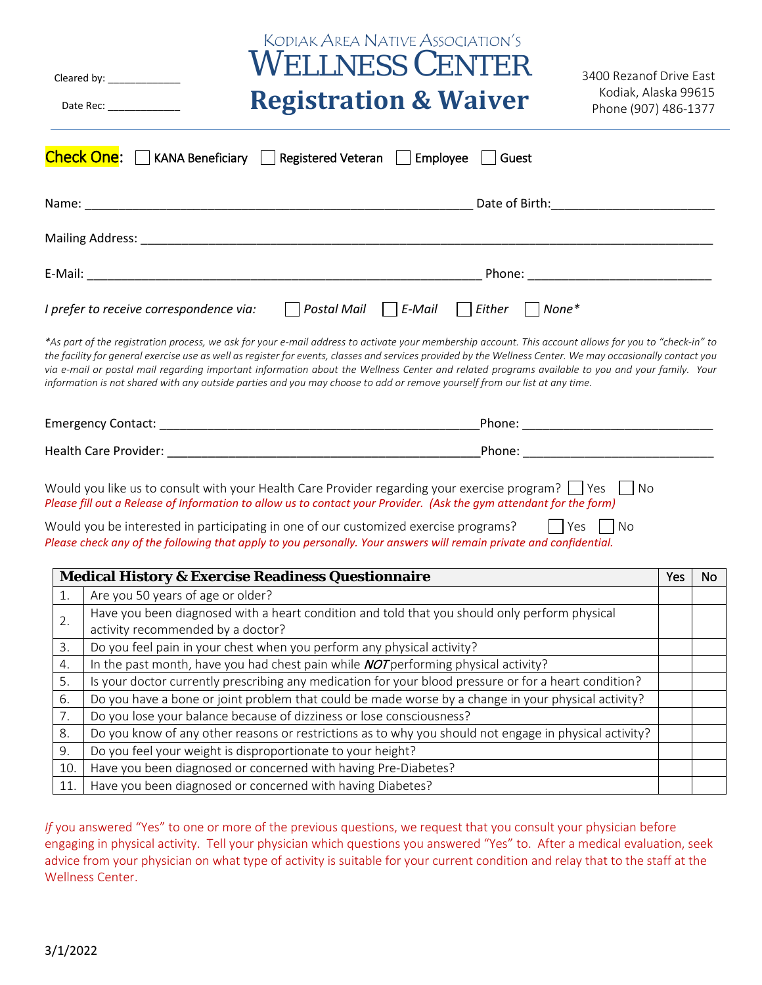| <b>KODIAK AREA NATIVE ASSOCIATION'S</b><br><b>WELLNESS CENTER</b><br>3400 Rezanof Drive East<br>Cleared by: _______________<br>Kodiak, Alaska 99615<br><b>Registration &amp; Waiver</b><br>Date Rec:<br>Phone (907) 486-1377                                                                                                                                                                                                                                                                                                                                                                           |     |    |
|--------------------------------------------------------------------------------------------------------------------------------------------------------------------------------------------------------------------------------------------------------------------------------------------------------------------------------------------------------------------------------------------------------------------------------------------------------------------------------------------------------------------------------------------------------------------------------------------------------|-----|----|
| <b>Check One:</b> $\Box$ KANA Beneficiary $\Box$ Registered Veteran $\Box$ Employee<br>  Guest                                                                                                                                                                                                                                                                                                                                                                                                                                                                                                         |     |    |
|                                                                                                                                                                                                                                                                                                                                                                                                                                                                                                                                                                                                        |     |    |
|                                                                                                                                                                                                                                                                                                                                                                                                                                                                                                                                                                                                        |     |    |
|                                                                                                                                                                                                                                                                                                                                                                                                                                                                                                                                                                                                        |     |    |
| Postal Mail $\Box$ E-Mail<br>$ $ Either<br>$\vert$ None*<br>I prefer to receive correspondence via:                                                                                                                                                                                                                                                                                                                                                                                                                                                                                                    |     |    |
| *As part of the registration process, we ask for your e-mail address to activate your membership account. This account allows for you to "check-in" to<br>the facility for general exercise use as well as register for events, classes and services provided by the Wellness Center. We may occasionally contact you<br>via e-mail or postal mail regarding important information about the Wellness Center and related programs available to you and your family. Your<br>information is not shared with any outside parties and you may choose to add or remove yourself from our list at any time. |     |    |
|                                                                                                                                                                                                                                                                                                                                                                                                                                                                                                                                                                                                        |     |    |
|                                                                                                                                                                                                                                                                                                                                                                                                                                                                                                                                                                                                        |     |    |
| Would you like us to consult with your Health Care Provider regarding your exercise program?     Yes<br>– I No<br>Please fill out a Release of Information to allow us to contact your Provider. (Ask the gym attendant for the form)<br>Would you be interested in participating in one of our customized exercise programs?<br>  Yes   No<br>Please check any of the following that apply to you personally. Your answers will remain private and confidential.                                                                                                                                      |     |    |
| <b>Medical History &amp; Exercise Readiness Questionnaire</b>                                                                                                                                                                                                                                                                                                                                                                                                                                                                                                                                          | Yes | No |
| Are you 50 years of age or older?<br>1.                                                                                                                                                                                                                                                                                                                                                                                                                                                                                                                                                                |     |    |
| Have you been diagnosed with a heart condition and told that you should only perform physical<br>2.                                                                                                                                                                                                                                                                                                                                                                                                                                                                                                    |     |    |
| activity recommended by a doctor?<br>Do you feel pain in your chest when you perform any physical activity?<br>3.                                                                                                                                                                                                                                                                                                                                                                                                                                                                                      |     |    |
| In the past month, have you had chest pain while <b>NOT</b> performing physical activity?<br>4.                                                                                                                                                                                                                                                                                                                                                                                                                                                                                                        |     |    |
| Is your doctor currently prescribing any medication for your blood pressure or for a heart condition?<br>5.                                                                                                                                                                                                                                                                                                                                                                                                                                                                                            |     |    |
| Do you have a bone or joint problem that could be made worse by a change in your physical activity?<br>6.                                                                                                                                                                                                                                                                                                                                                                                                                                                                                              |     |    |
| Do you lose your balance because of dizziness or lose consciousness?<br>7.                                                                                                                                                                                                                                                                                                                                                                                                                                                                                                                             |     |    |
| Do you know of any other reasons or restrictions as to why you should not engage in physical activity?<br>8.                                                                                                                                                                                                                                                                                                                                                                                                                                                                                           |     |    |
| Do you feel your weight is disproportionate to your height?<br>9.                                                                                                                                                                                                                                                                                                                                                                                                                                                                                                                                      |     |    |
| Have you been diagnosed or concerned with having Pre-Diabetes?<br>10.                                                                                                                                                                                                                                                                                                                                                                                                                                                                                                                                  |     |    |
| Have you been diagnosed or concerned with having Diabetes?<br>11.                                                                                                                                                                                                                                                                                                                                                                                                                                                                                                                                      |     |    |

*If* you answered "Yes" to one or more of the previous questions, we request that you consult your physician before engaging in physical activity. Tell your physician which questions you answered "Yes" to. After a medical evaluation, seek advice from your physician on what type of activity is suitable for your current condition and relay that to the staff at the Wellness Center.